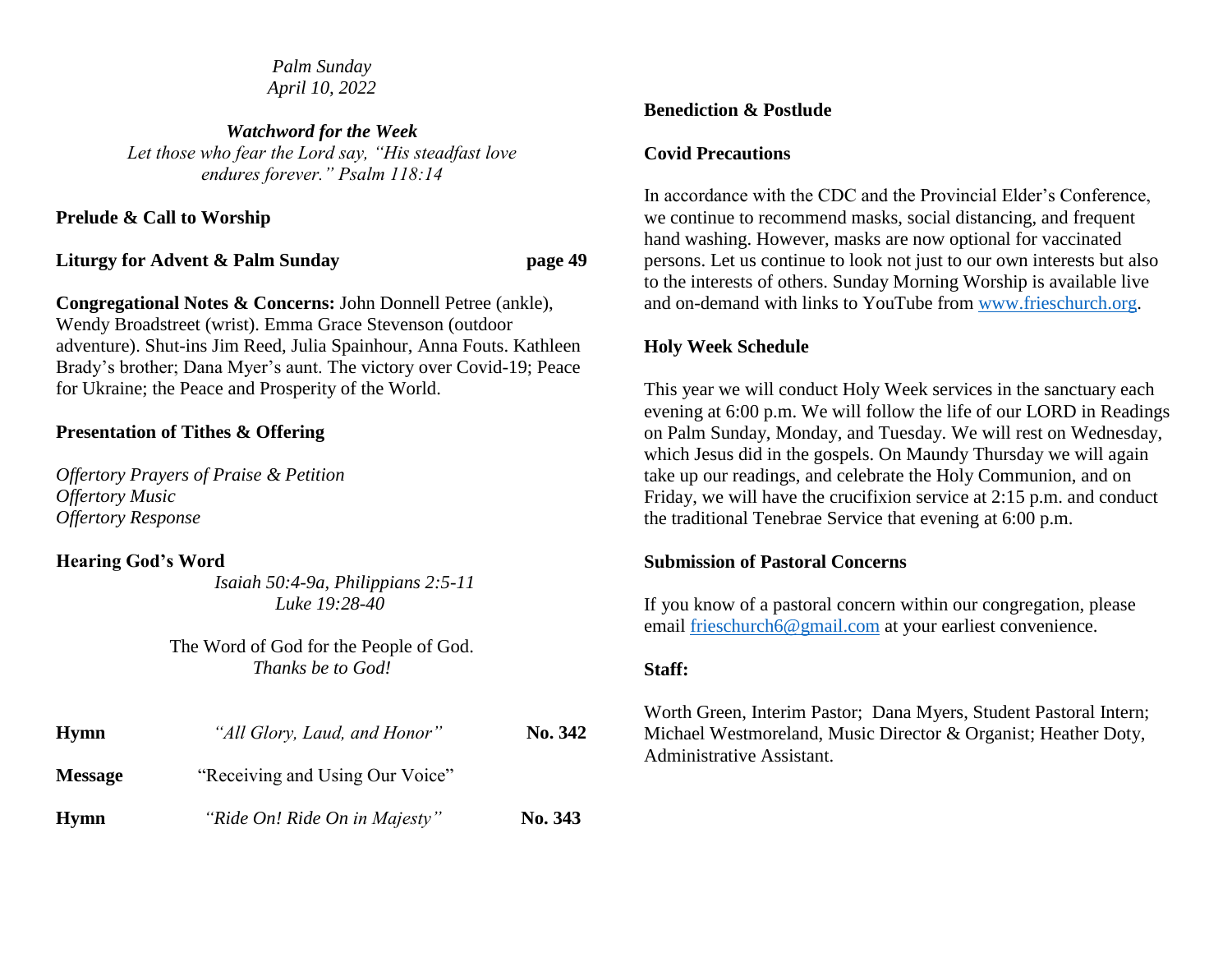*Palm Sunday April 10, 2022*

*Watchword for the Week Let those who fear the Lord say, "His steadfast love endures forever." Psalm 118:14*

**Prelude & Call to Worship**

**Liturgy for Advent & Palm Sunday page 49**

**Congregational Notes & Concerns:** John Donnell Petree (ankle), Wendy Broadstreet (wrist). Emma Grace Stevenson (outdoor adventure). Shut-ins Jim Reed, Julia Spainhour, Anna Fouts. Kathleen Brady's brother; Dana Myer's aunt. The victory over Covid-19; Peace for Ukraine; the Peace and Prosperity of the World.

## **Presentation of Tithes & Offering**

*Offertory Prayers of Praise & Petition Offertory Music Offertory Response*

## **Hearing God's Word**

 *Isaiah 50:4-9a, Philippians 2:5-11 Luke 19:28-40*

The Word of God for the People of God. *Thanks be to God!*

| <b>Hymn</b>    | "All Glory, Laud, and Honor"    | No. 342 |
|----------------|---------------------------------|---------|
| <b>Message</b> | "Receiving and Using Our Voice" |         |
| <b>Hymn</b>    | "Ride On! Ride On in Majesty"   | No. 343 |

#### **Benediction & Postlude**

#### **Covid Precautions**

In accordance with the CDC and the Provincial Elder's Conference, we continue to recommend masks, social distancing, and frequent hand washing. However, masks are now optional for vaccinated persons. Let us continue to look not just to our own interests but also to the interests of others. Sunday Morning Worship is available live and on-demand with links to YouTube from [www.frieschurch.org.](http://www.frieschurch.org/)

## **Holy Week Schedule**

This year we will conduct Holy Week services in the sanctuary each evening at 6:00 p.m. We will follow the life of our LORD in Readings on Palm Sunday, Monday, and Tuesday. We will rest on Wednesday, which Jesus did in the gospels. On Maundy Thursday we will again take up our readings, and celebrate the Holy Communion, and on Friday, we will have the crucifixion service at 2:15 p.m. and conduct the traditional Tenebrae Service that evening at 6:00 p.m.

## **Submission of Pastoral Concerns**

If you know of a pastoral concern within our congregation, please email [frieschurch6@gmail.com](mailto:frieschurch6@gmail.com) at your earliest convenience.

## **Staff:**

Worth Green, Interim Pastor; Dana Myers, Student Pastoral Intern; Michael Westmoreland, Music Director & Organist; Heather Doty, Administrative Assistant.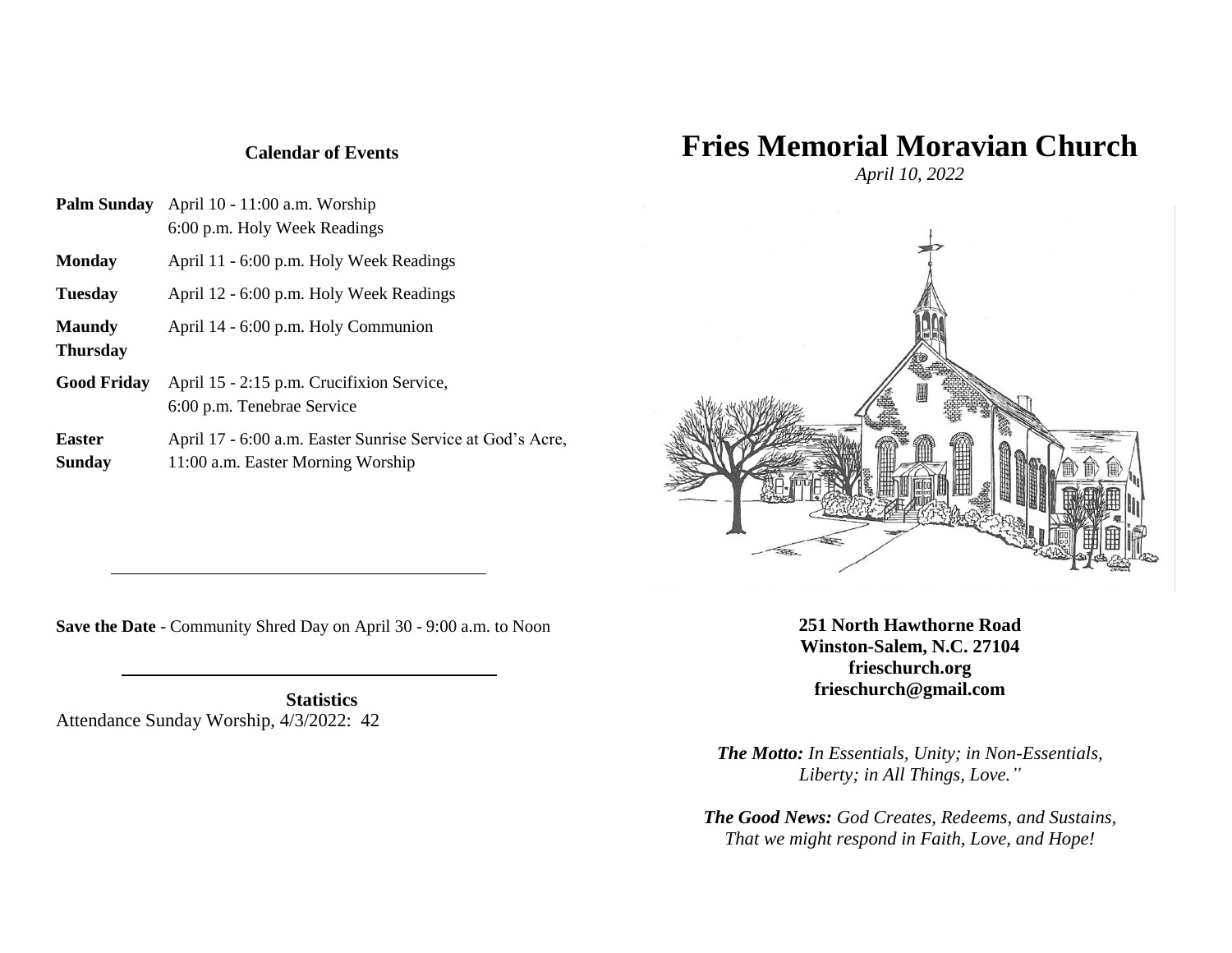# **Fries Memorial Moravian Church**

**Calendar of Events**

| Palm Sunday        | April 10 - 11:00 a.m. Worship<br>6:00 p.m. Holy Week Readings                                   |
|--------------------|-------------------------------------------------------------------------------------------------|
| Monday             | April 11 - 6:00 p.m. Holy Week Readings                                                         |
| Tuesday            | April 12 - 6:00 p.m. Holy Week Readings                                                         |
| Maundy<br>Thursday | April 14 - 6:00 p.m. Holy Communion                                                             |
| <b>Good Friday</b> | April 15 - 2:15 p.m. Crucifixion Service,<br>6:00 p.m. Tenebrae Service                         |
| Easter<br>Sunday   | April 17 - 6:00 a.m. Easter Sunrise Service at God's Acre,<br>11:00 a.m. Easter Morning Worship |

*April 10, 2022*



**Save the Date** - Community Shred Day on April 30 - 9:00 a.m. to Noon

**Statistics** Attendance Sunday Worship, 4/3/2022: 42 **251 North Hawthorne Road Winston-Salem, N.C. 27104 frieschurch.org frieschurch@gmail.com**

*The Motto: In Essentials, Unity; in Non-Essentials, Liberty; in All Things, Love."*

*The Good News: God Creates, Redeems, and Sustains, That we might respond in Faith, Love, and Hope!*